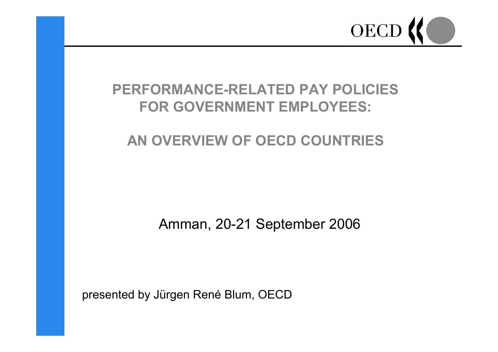

# **PERFORMANCE-RELATED PAY POLICIESFOR GOVERNMENT EMPLOYEES:**

## **AN OVERVIEW OF OECD COUNTRIES**

Amman, 20-21 September 2006

presented by Jürgen René Blum, OECD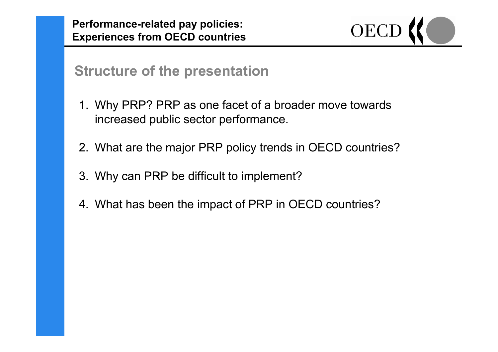**Performance-related pay policies: Experiences from OECD countries**



### **Structure of the presentation**

- 1. Why PRP? PRP as one facet of a broader move towards increased public sector performance.
- 2. What are the major PRP policy trends in OECD countries?
- 3. Why can PRP be difficult to implement?
- 4. What has been the impact of PRP in OECD countries?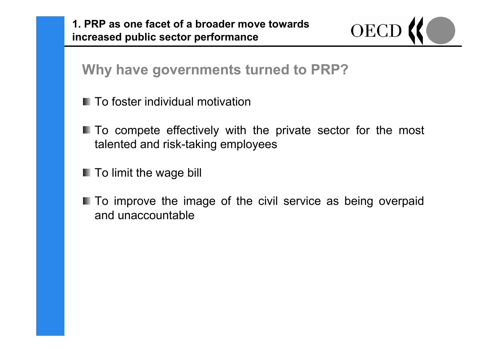**1. PRP as one facet of a broader move towards increased public sector performance**



**Why have governments turned to PRP?**

- To foster individual motivation
- **III** To compete effectively with the private sector for the most talented and risk-taking employees
- **To limit the wage bill**
- **The improve the image of the civil service as being overpaid** and unaccountable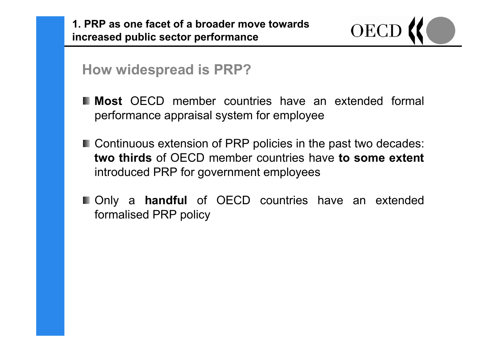

**How widespread is PRP?**

- **Most** OECD member countries have an extended formal performance appraisal system for employee
- Continuous extension of PRP policies in the past two decades: **two thirds** of OECD member countries have **to some extent** introduced PRP for government employees
- Only a **handful** of OECD countries have an extended formalised PRP policy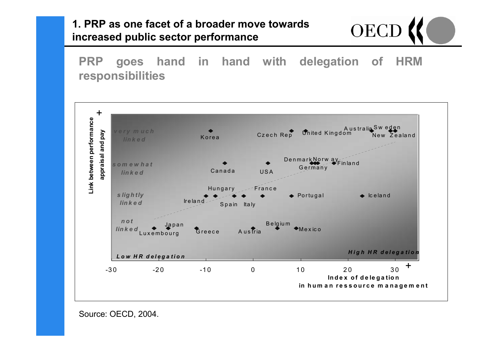#### **1. PRP as one facet of a broader move towards increased public sector performance**



**PRP goes hand in hand with delegation of HRM responsibilities**



Source: OECD, 2004.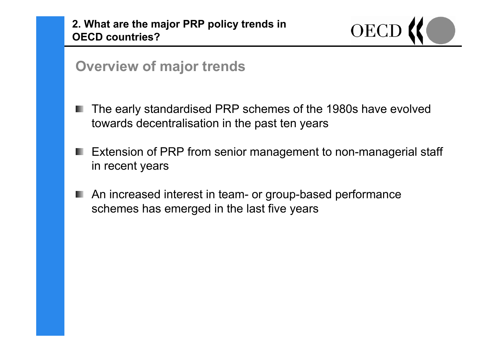

### **Overview of major trends**

- The early standardised PRP schemes of the 1980s have evolved towards decentralisation in the past ten years
- **Extension of PRP from senior management to non-managerial staff** in recent years
- An increased interest in team- or group-based performance schemes has emerged in the last five years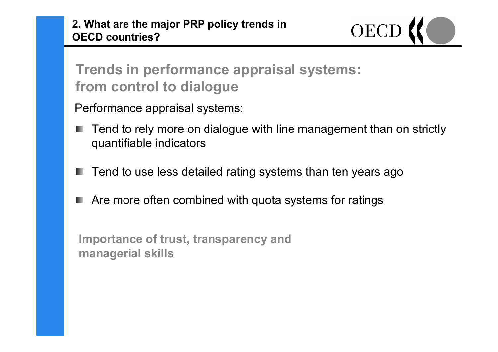

# **Trends in performance appraisal systems: from control to dialogue**

Performance appraisal systems:

- Tend to rely more on dialogue with line management than on strictly quantifiable indicators
- Tend to use less detailed rating systems than ten years ago
- Are more often combined with quota systems for ratings

**Importance of trust, transparency and managerial skills**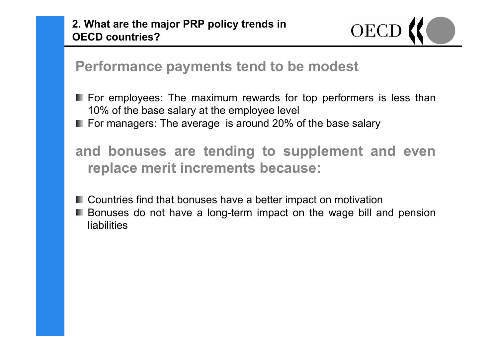

**Performance payments tend to be modest**

**For employees: The maximum rewards for top performers is less than** 10% of the base salary at the employee level For managers: The average is around 20% of the base salary

**and bonuses are tending to supplement and even replace merit increments because:**

- Countries find that bonuses have a better impact on motivation
- **Bonuses do not have a long-term impact on the wage bill and pension** liabilities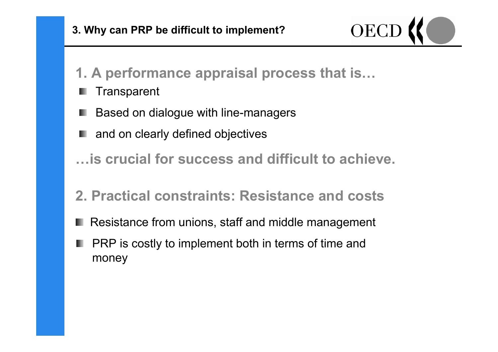

- **1. A performance appraisal process that is…**
- **Transparent**
- Based on dialogue with line-managers
- **■** and on clearly defined objectives
- **…is crucial for success and difficult to achieve.**
- **2. Practical constraints: Resistance and costs**
- Resistance from unions, staff and middle management
- PRP is costly to implement both in terms of time and money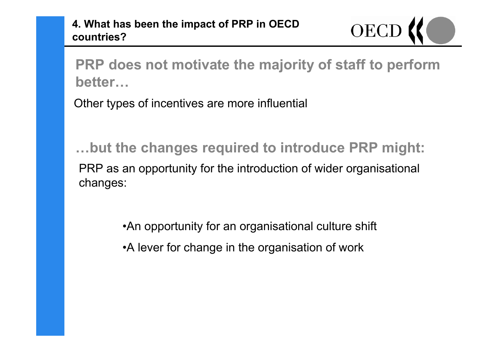**OECD** 

**PRP does not motivate the majority of staff to perform better…**

Other types of incentives are more influential

PRP as an opportunity for the introduction of wider organisational changes: **…but the changes required to introduce PRP might:**

> •An opportunity for an organisational culture shift •A lever for change in the organisation of work